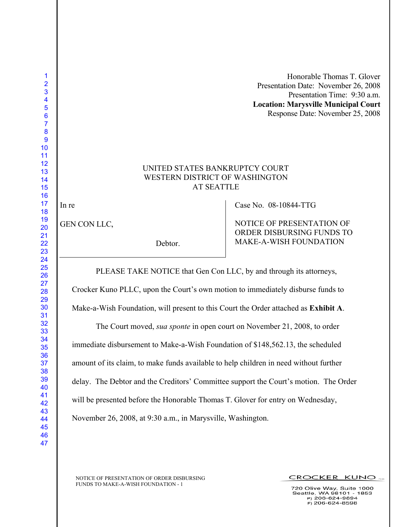Honorable Thomas T. Glover Presentation Date: November 26, 2008 Presentation Time: 9:30 a.m. **Location: Marysville Municipal Court** Response Date: November 25, 2008

## UNITED STATES BANKRUPTCY COURT WESTERN DISTRICT OF WASHINGTON AT SEATTLE

In re

GEN CON LLC,

Debtor.

Case No. 08-10844-TTG

NOTICE OF PRESENTATION OF ORDER DISBURSING FUNDS TO MAKE-A-WISH FOUNDATION

PLEASE TAKE NOTICE that Gen Con LLC, by and through its attorneys,

Crocker Kuno PLLC, upon the Court's own motion to immediately disburse funds to

Make-a-Wish Foundation, will present to this Court the Order attached as **Exhibit A**.

The Court moved, *sua sponte* in open court on November 21, 2008, to order immediate disbursement to Make-a-Wish Foundation of \$148,562.13, the scheduled amount of its claim, to make funds available to help children in need without further delay. The Debtor and the Creditors' Committee support the Court's motion. The Order will be presented before the Honorable Thomas T. Glover for entry on Wednesday, November 26, 2008, at 9:30 a.m., in Marysville, Washington.

NOTICE OF PRESENTATION OF ORDER DISBURSING FUNDS TO MAKE-A-WISH FOUNDATION - 1

720 Olive Way, Suite 1000 Seattle, WA 98101 - 1853<br>P) 206-624-9894  $F$ ) 206-624-8598

CROCKER KUNO